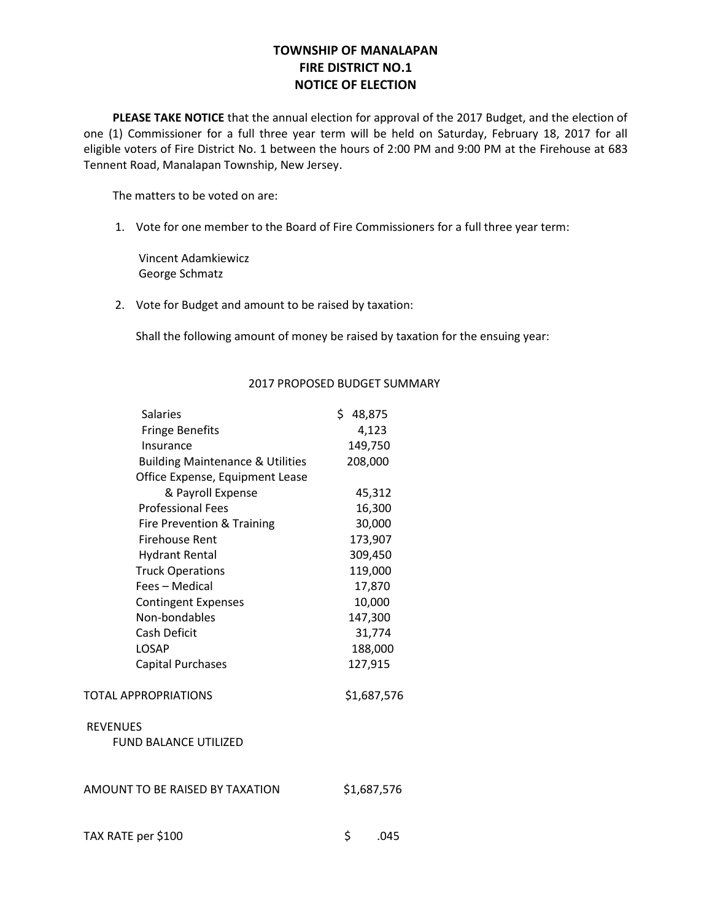## **TOWNSHIP OF MANALAPAN FIRE DISTRICT NO.1 NOTICE OF ELECTION**

**PLEASE TAKE NOTICE** that the annual election for approval of the 2017 Budget, and the election of one (1) Commissioner for a full three year term will be held on Saturday, February 18, 2017 for all eligible voters of Fire District No. 1 between the hours of 2:00 PM and 9:00 PM at the Firehouse at 683 Tennent Road, Manalapan Township, New Jersey.

The matters to be voted on are:

1. Vote for one member to the Board of Fire Commissioners for a full three year term:

Vincent Adamkiewicz George Schmatz

2. Vote for Budget and amount to be raised by taxation:

Shall the following amount of money be raised by taxation for the ensuing year:

## 2017 PROPOSED BUDGET SUMMARY

| <b>Salaries</b>                             | \$<br>48,875 |
|---------------------------------------------|--------------|
| <b>Fringe Benefits</b>                      | 4,123        |
| Insurance                                   | 149,750      |
| <b>Building Maintenance &amp; Utilities</b> | 208,000      |
| Office Expense, Equipment Lease             |              |
| & Payroll Expense                           | 45,312       |
| <b>Professional Fees</b>                    | 16,300       |
| Fire Prevention & Training                  | 30,000       |
| <b>Firehouse Rent</b>                       | 173,907      |
| <b>Hydrant Rental</b>                       | 309,450      |
| <b>Truck Operations</b>                     | 119,000      |
| Fees - Medical                              | 17,870       |
| <b>Contingent Expenses</b>                  | 10,000       |
| Non-bondables                               | 147,300      |
| Cash Deficit                                | 31,774       |
| <b>LOSAP</b>                                | 188,000      |
| <b>Capital Purchases</b>                    | 127,915      |
| <b>TOTAL APPROPRIATIONS</b>                 | \$1,687,576  |
| <b>REVENUES</b>                             |              |
| <b>FUND BALANCE UTILIZED</b>                |              |
|                                             |              |
| AMOUNT TO BE RAISED BY TAXATION             | \$1,687,576  |
|                                             |              |
| TAX RATE per \$100                          | \$<br>.045   |